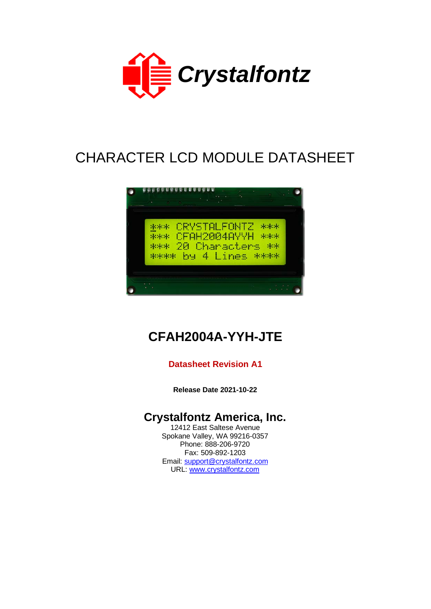

# CHARACTER LCD MODULE DATASHEET



# **CFAH2004A-YYH-JTE**

### **Datasheet Revision A1**

**Release Date 2021-10-22**

# **Crystalfontz America, Inc.**

12412 East Saltese Avenue Spokane Valley, WA 99216-0357 Phone: 888-206-9720 Fax: 509-892-1203 Email: [support@crystalfontz.com](mailto:support@crystalfontz.com) URL: [www.crystalfontz.com](http://www.crystalfontz.com/)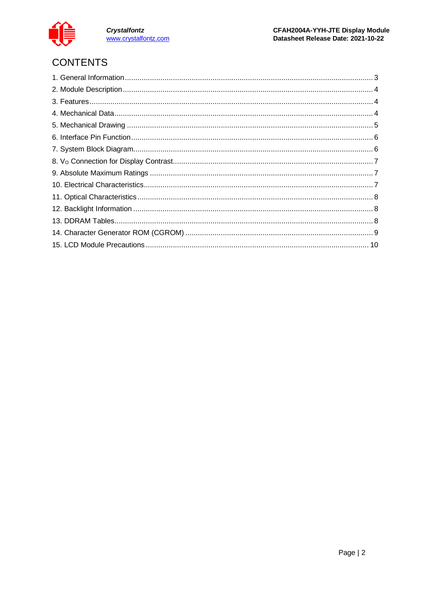

Crystalfontz<br>www.crystalfontz.com

# **CONTENTS**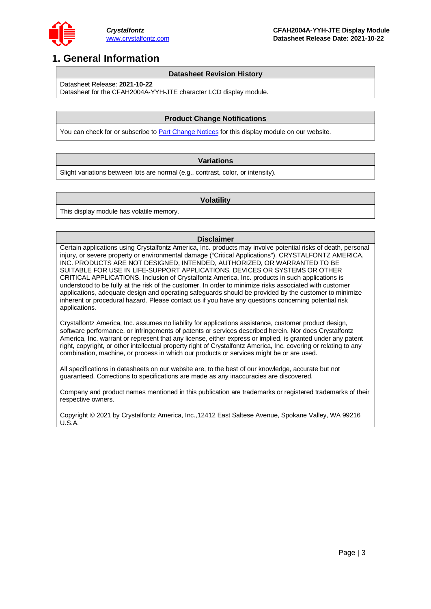

# <span id="page-2-0"></span>**1. General Information**

#### **Datasheet Revision History**

Datasheet Release: **2021-10-22**

Datasheet for the CFAH2004A-YYH-JTE character LCD display module.

#### **Product Change Notifications**

You can check for or subscribe to **Part Change Notices** for this display module on our website.

#### **Variations**

Slight variations between lots are normal (e.g., contrast, color, or intensity).

#### **Volatility**

This display module has volatile memory.

#### **Disclaimer**

Certain applications using Crystalfontz America, Inc. products may involve potential risks of death, personal injury, or severe property or environmental damage ("Critical Applications"). CRYSTALFONTZ AMERICA, INC. PRODUCTS ARE NOT DESIGNED, INTENDED, AUTHORIZED, OR WARRANTED TO BE SUITABLE FOR USE IN LIFE-SUPPORT APPLICATIONS, DEVICES OR SYSTEMS OR OTHER CRITICAL APPLICATIONS. Inclusion of Crystalfontz America, Inc. products in such applications is understood to be fully at the risk of the customer. In order to minimize risks associated with customer applications, adequate design and operating safeguards should be provided by the customer to minimize inherent or procedural hazard. Please contact us if you have any questions concerning potential risk applications.

Crystalfontz America, Inc. assumes no liability for applications assistance, customer product design, software performance, or infringements of patents or services described herein. Nor does Crystalfontz America, Inc. warrant or represent that any license, either express or implied, is granted under any patent right, copyright, or other intellectual property right of Crystalfontz America, Inc. covering or relating to any combination, machine, or process in which our products or services might be or are used.

All specifications in datasheets on our website are, to the best of our knowledge, accurate but not guaranteed. Corrections to specifications are made as any inaccuracies are discovered.

Company and product names mentioned in this publication are trademarks or registered trademarks of their respective owners.

Copyright © 2021 by Crystalfontz America, Inc.,12412 East Saltese Avenue, Spokane Valley, WA 99216 U.S.A.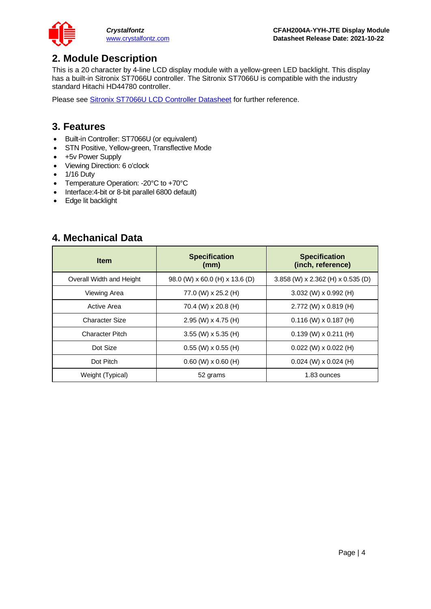

## <span id="page-3-0"></span>**2. Module Description**

This is a 20 character by 4-line LCD display module with a yellow-green LED backlight. This display has a built-in Sitronix ST7066U controller. The Sitronix ST7066U is compatible with the industry standard Hitachi HD44780 controller.

Please see [Sitronix ST7066U LCD Controller Datasheet](https://www.crystalfontz.com/controllers/Sitronix/ST7066U) for further reference.

### <span id="page-3-1"></span>**3. Features**

- Built-in Controller: ST7066U (or equivalent)
- STN Positive, Yellow-green, Transflective Mode
- +5v Power Supply
- Viewing Direction: 6 o'clock
- 1/16 Duty
- Temperature Operation: -20°C to +70°C
- Interface:4-bit or 8-bit parallel 6800 default)
- Edge lit backlight

### <span id="page-3-2"></span>**4. Mechanical Data**

| <b>Item</b>              | <b>Specification</b><br>(mm)   | <b>Specification</b><br>(inch, reference) |  |  |  |  |  |
|--------------------------|--------------------------------|-------------------------------------------|--|--|--|--|--|
| Overall Width and Height | 98.0 (W) x 60.0 (H) x 13.6 (D) | 3.858 (W) x 2.362 (H) x 0.535 (D)         |  |  |  |  |  |
| Viewing Area             | 77.0 (W) x 25.2 (H)            | $3.032$ (W) x 0.992 (H)                   |  |  |  |  |  |
| Active Area              | 70.4 (W) x 20.8 (H)            | 2.772 (W) x 0.819 (H)                     |  |  |  |  |  |
| Character Size           | 2.95 (W) $\times$ 4.75 (H)     | $0.116$ (W) x $0.187$ (H)                 |  |  |  |  |  |
| <b>Character Pitch</b>   | $3.55$ (W) x 5.35 (H)          | $0.139$ (W) x $0.211$ (H)                 |  |  |  |  |  |
| Dot Size                 | $0.55$ (W) x 0.55 (H)          | $0.022$ (W) x $0.022$ (H)                 |  |  |  |  |  |
| Dot Pitch                | $0.60$ (W) x $0.60$ (H)        | $0.024$ (W) x $0.024$ (H)                 |  |  |  |  |  |
| Weight (Typical)         | 52 grams                       | 1.83 ounces                               |  |  |  |  |  |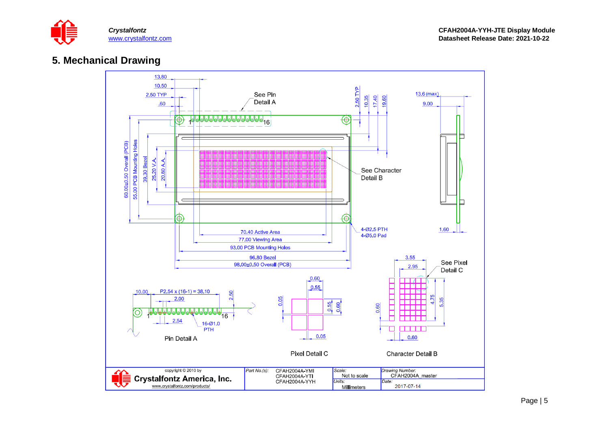

### **5. Mechanical Drawing**

<span id="page-4-0"></span>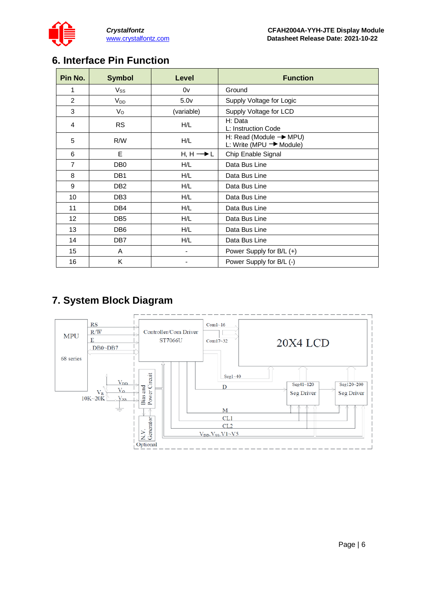

# <span id="page-5-0"></span>**6. Interface Pin Function**

| Pin No.        | <b>Symbol</b>   | Level                    | <b>Function</b>                                                           |
|----------------|-----------------|--------------------------|---------------------------------------------------------------------------|
| 1              | $V_{SS}$        | 0v                       | Ground                                                                    |
| 2              | $V_{DD}$        | 5.0 <sub>V</sub>         | Supply Voltage for Logic                                                  |
| 3              | $V_{\rm O}$     | (variable)               | Supply Voltage for LCD                                                    |
| 4              | <b>RS</b>       | H/L                      | H: Data<br>L: Instruction Code                                            |
| 5              | R/W             | H/L                      | H: Read (Module $\rightarrow$ MPU)<br>L: Write (MPU $\rightarrow$ Module) |
| 6              | E               | $H, H \longrightarrow L$ | Chip Enable Signal                                                        |
| $\overline{7}$ | DB <sub>0</sub> | H/L                      | Data Bus Line                                                             |
| 8              | DB <sub>1</sub> | H/L                      | Data Bus Line                                                             |
| 9              | DB <sub>2</sub> | H/L                      | Data Bus Line                                                             |
| 10             | DB <sub>3</sub> | H/L                      | Data Bus Line                                                             |
| 11             | DB <sub>4</sub> | H/L                      | Data Bus Line                                                             |
| 12             | DB <sub>5</sub> | H/L                      | Data Bus Line                                                             |
| 13             | DB <sub>6</sub> | H/L                      | Data Bus Line                                                             |
| 14             | DB7             | H/L                      | Data Bus Line                                                             |
| 15             | A               | -                        | Power Supply for B/L (+)                                                  |
| 16             | Κ               |                          | Power Supply for B/L (-)                                                  |

# <span id="page-5-1"></span>**7. System Block Diagram**

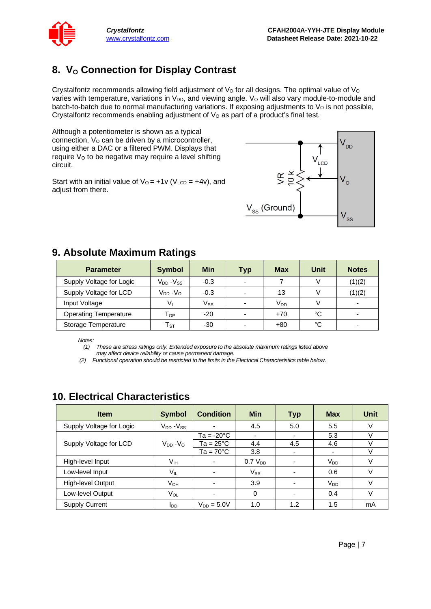

# <span id="page-6-0"></span>8. **V<sub>o</sub> Connection for Display Contrast**

Crystalfontz recommends allowing field adjustment of  $V<sub>O</sub>$  for all designs. The optimal value of  $V<sub>O</sub>$ varies with temperature, variations in V<sub>DD</sub>, and viewing angle. V<sub>o</sub> will also vary module-to-module and batch-to-batch due to normal manufacturing variations. If exposing adjustments to  $V<sub>o</sub>$  is not possible, Crystalfontz recommends enabling adjustment of  $V<sub>O</sub>$  as part of a product's final test.

Although a potentiometer is shown as a typical connection,  $V<sub>O</sub>$  can be driven by a microcontroller, using either a DAC or a filtered PWM. Displays that require Vo to be negative may require a level shifting circuit.

Start with an initial value of  $V_0 = +1v$  (V<sub>LCD</sub> =  $+4v$ ), and adjust from there.



### <span id="page-6-1"></span>**9. Absolute Maximum Ratings**

| <b>Parameter</b>             | <b>Symbol</b>              | <b>Min</b>   | <b>Typ</b>               | <b>Max</b>      | Unit | <b>Notes</b> |
|------------------------------|----------------------------|--------------|--------------------------|-----------------|------|--------------|
| Supply Voltage for Logic     | $V_{DD} - V_{SS}$          | $-0.3$       | $\overline{\phantom{a}}$ |                 |      | (1)(2)       |
| Supply Voltage for LCD       | $V_{DD} - V_{O}$           | $-0.3$       |                          | 13              |      | (1)(2)       |
| Input Voltage                | Vı                         | $V_{\rm SS}$ |                          | V <sub>DD</sub> |      |              |
| <b>Operating Temperature</b> | $\mathsf{T}_{\mathsf{OP}}$ | $-20$        |                          | $+70$           | °C   |              |
| Storage Temperature          | $\mathsf{T}_{\texttt{ST}}$ | $-30$        |                          | +80             | °C   |              |

*Notes:*

*(1) These are stress ratings only. Extended exposure to the absolute maximum ratings listed above may affect device reliability or cause permanent damage.* 

*(2) Functional operation should be restricted to the limits in the Electrical Characteristics table below.*

# <span id="page-6-2"></span>**10. Electrical Characteristics**

| <b>Item</b>              | <b>Symbol</b>     | <b>Condition</b>         | <b>Min</b>               | <b>Typ</b>               | <b>Max</b>               | Unit   |
|--------------------------|-------------------|--------------------------|--------------------------|--------------------------|--------------------------|--------|
| Supply Voltage for Logic | $V_{DD} - V_{SS}$ | $\overline{\phantom{0}}$ | 4.5                      | 5.0                      | 5.5                      | V      |
|                          |                   | Ta = -20°C               | $\overline{\phantom{a}}$ | -                        | 5.3                      |        |
| Supply Voltage for LCD   | $V_{DD} - V_{O}$  | Ta = 25°C                | 4.4                      | 4.5                      | 4.6                      |        |
|                          |                   | $Ta = 70^{\circ}C$       | 3.8                      | -                        | $\overline{\phantom{a}}$ |        |
| High-level Input         | Vıн               | $\overline{\phantom{0}}$ | 0.7 V <sub>DD</sub>      | -                        | $V_{DD}$                 | V      |
| Low-level Input          | VIL               | $\overline{\phantom{0}}$ | $V_{SS}$                 | $\overline{\phantom{0}}$ | 0.6                      | v      |
| High-level Output        | $V_{OH}$          | $\overline{\phantom{a}}$ | 3.9                      | $\overline{\phantom{0}}$ | V <sub>DD</sub>          | $\vee$ |
| Low-level Output         | $V_{OL}$          | $\overline{\phantom{0}}$ | 0                        | $\overline{\phantom{0}}$ | 0.4                      | $\vee$ |
| <b>Supply Current</b>    | loo               | $V_{DD} = 5.0V$          | 1.0                      | 1.2                      | 1.5                      | mA     |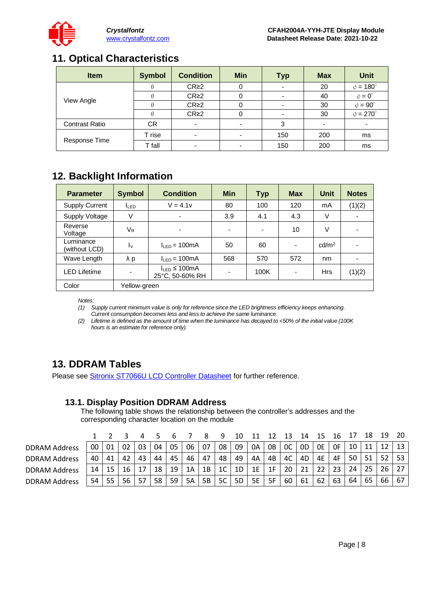

# <span id="page-7-0"></span>**11. Optical Characteristics**

| <b>Item</b>           | <b>Symbol</b> | <b>Condition</b>         | <b>Min</b> | <b>Typ</b> | <b>Max</b>               | Unit               |
|-----------------------|---------------|--------------------------|------------|------------|--------------------------|--------------------|
|                       |               | CR <sub>2</sub>          |            |            | 20                       | $\phi = 180^\circ$ |
|                       |               | CR <sub>2</sub>          |            |            | 40                       | $\phi = 0^{\circ}$ |
| View Angle            |               | CR <sub>2</sub>          |            |            | 30                       | $\phi = 90^\circ$  |
|                       |               | CR <sub>2</sub>          |            |            | 30                       | $\phi = 270^\circ$ |
| <b>Contrast Ratio</b> | CR            | $\blacksquare$           | -          | 3          | $\overline{\phantom{0}}$ |                    |
|                       | T rise        | $\overline{\phantom{0}}$ |            | 150        | 200                      | ms                 |
| Response Time         | T fall        | $\overline{\phantom{0}}$ |            | 150        | 200                      | ms                 |

# <span id="page-7-1"></span>**12. Backlight Information**

| <b>Parameter</b>           | <b>Symbol</b>             | <b>Condition</b>                                                                                            | <b>Min</b>               | <b>Typ</b>               | <b>Max</b>               | <b>Unit</b>       | <b>Notes</b>             |
|----------------------------|---------------------------|-------------------------------------------------------------------------------------------------------------|--------------------------|--------------------------|--------------------------|-------------------|--------------------------|
| <b>Supply Current</b>      | <b>ILED</b>               | $V = 4.1v$                                                                                                  | 80                       | 100                      | 120                      | mA                | (1)(2)                   |
| Supply Voltage             | V                         |                                                                                                             | 3.9                      | 4.1                      | 4.3                      | V                 |                          |
| Reverse<br>Voltage         | $V_{R}$                   | $\blacksquare$                                                                                              | $\overline{\phantom{0}}$ | $\overline{\phantom{a}}$ | 10                       | V                 | $\overline{\phantom{0}}$ |
| Luminance<br>(without LCD) | $\mathsf{I}_{\mathsf{V}}$ | $I_{IFD} = 100mA$                                                                                           | 50                       | 60                       | $\overline{\phantom{0}}$ | cd/m <sup>2</sup> | $\overline{\phantom{0}}$ |
| Wave Length                | λp                        | $I_{IFD} = 100mA$                                                                                           | 568                      | 570                      | 572                      | nm                |                          |
| <b>LED Lifetime</b>        |                           | $I_{\text{LED}}$ ≤ 100mA<br>100K<br>$\overline{\phantom{a}}$<br>$\overline{\phantom{0}}$<br>25°C, 50-60% RH |                          |                          |                          | <b>Hrs</b>        | (1)(2)                   |
| Color                      | Yellow-green              |                                                                                                             |                          |                          |                          |                   |                          |

*Notes:* 

*(1) Supply current minimum value is only for reference since the LED brightness efficiency keeps enhancing. Current consumption becomes less and less to achieve the same luminance.* 

*(2) Lifetime is defined as the amount of time when the luminance has decayed to <50% of the initial value (100K hours is an estimate for reference only).*

# <span id="page-7-2"></span>**13. DDRAM Tables**

Please see **Sitronix ST7066U LCD Controller Datasheet** for further reference.

### **13.1. Display Position DDRAM Address**

The following table shows the relationship between the controller's addresses and the corresponding character location on the module

|                      |    |    |    |    |    |    |    |    | ч              | 10 |           |    | 13             | 14 |    | 16 |    | 18 | 19 |    |
|----------------------|----|----|----|----|----|----|----|----|----------------|----|-----------|----|----------------|----|----|----|----|----|----|----|
| <b>DDRAM Address</b> | 00 | 01 | 02 | 03 | 04 | 05 | 06 | 07 | 08             | 09 | 0A        | 0B | <sub>0</sub> C | 0D | 0E | 0F | 10 | 11 |    | 13 |
| <b>DDRAM Address</b> | 40 | 41 | 42 | 43 | 44 | 45 | 46 | 47 | 48             | 49 | 4A        | 4B | 4C             | 4D | 4E | 4F | 50 | 51 | 52 | 53 |
| <b>DDRAM Address</b> | 14 |    | 16 | 17 | 18 | 19 | 1A | 1B | 1 <sup>C</sup> | 1D | 1E        | 1F | 20             | 21 | 22 | 23 | 24 | 25 | 26 | 27 |
| <b>DDRAM Address</b> | 54 | 55 | 56 | 57 | 58 | 59 | 5A | 5B | 5C             | 5D | <b>5E</b> | 5F | 60             | 61 | 62 | 63 | 64 | 65 | 66 | 67 |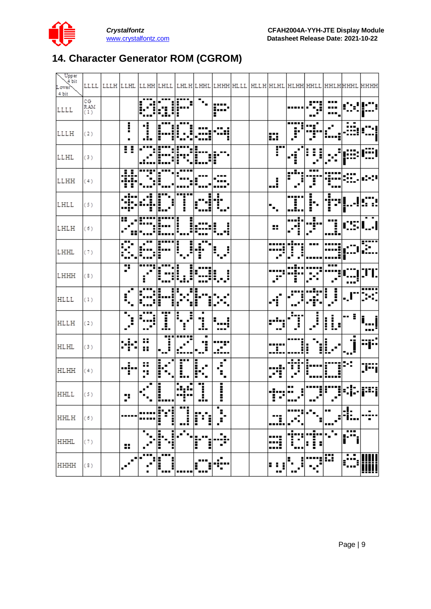

# <span id="page-8-0"></span>**14. Character Generator ROM (CGROM)**

| Upper<br>4 bit<br>Lower<br>4 bit |                  |                                               |                  |                         |                          |                          |                      | LLLL  LLLH  LLHL  LLHH LHLL  LHLH LHHL LHHH HLLL  HLLH HLHL HLHH HHLL HHLH HHHL  HHHH |                                     |                                       |                     |                |                     |                          |
|----------------------------------|------------------|-----------------------------------------------|------------------|-------------------------|--------------------------|--------------------------|----------------------|---------------------------------------------------------------------------------------|-------------------------------------|---------------------------------------|---------------------|----------------|---------------------|--------------------------|
| LLLL                             | CG<br>RAM<br>(1) |                                               |                  |                         |                          | Ξ,                       | .<br>8<br>F          |                                                                                       |                                     |                                       |                     | <br>           |                     |                          |
| LLLH                             | (2)              | I                                             | Ī<br>л.          |                         |                          |                          |                      |                                                                                       | m                                   | ----<br>Ĵ.                            |                     |                |                     |                          |
| LLHL                             | (3)              | π                                             |                  |                         |                          |                          |                      |                                                                                       | F                                   | i                                     |                     |                |                     |                          |
| LLHH                             | (4)              | н<br>J                                        |                  |                         |                          |                          |                      |                                                                                       | $\mathbf{I}$                        | $ \overline{\mathbf{r}^{(1)}} $<br>a. | .<br>Ĵ.             |                |                     |                          |
| LHLL                             | (5)              |                                               |                  |                         | <b></b><br>ĺ             | Ξ<br>п                   | J.<br>Ļ.             |                                                                                       | ٠<br>٠.                             | -----<br>. .<br>                      | н<br>ŀ.             | <br>н          |                     |                          |
| LHLH                             | (6)              | Ŧ                                             |                  |                         | i<br>l                   | ---                      | н                    |                                                                                       | Η,                                  | Ξ                                     | ٠<br>$\blacksquare$ | <br>ĻĴ.        |                     | $\overline{\phantom{0}}$ |
| LHHL                             | (7)              |                                               |                  |                         | i<br>$\mathbf{L}$        | m,<br>Ē                  | $E_{\rm eff}$<br>Н   |                                                                                       |                                     |                                       |                     |                |                     |                          |
| LHHH                             | (3)              | 7                                             | Ē                |                         | İ                        |                          | H<br>الرواز          |                                                                                       | $\mathcal{P}$                       | Ē                                     |                     | ---            |                     |                          |
| <b>HLLL</b>                      | (1)              | $\sqrt{2}$                                    |                  |                         |                          |                          |                      |                                                                                       |                                     |                                       |                     | $\int$<br>į    | $\blacksquare$      |                          |
| HLLH                             | (2)              | $\blacksquare$<br>$\mathcal{F}_{\mathcal{C}}$ | <br>$\mathbf{r}$ | I                       | Ξ<br>ŧ,<br>ŧ             | п<br>l                   | п<br>                |                                                                                       |                                     | Ļ.                                    | $\int$              | ij,            | - 1                 | . '                      |
| <b>HLHL</b>                      | (3)              |                                               | ×<br>88          | <br>$\mathbb{R}^3$<br>٠ |                          | ٠<br>Ï                   |                      |                                                                                       | н                                   |                                       | l                   | :∥…            | п<br>٠.             | ---<br>                  |
| <b>HLHH</b>                      | (4)              | $\blacksquare$<br>÷.                          | 88<br>×          | i<br>٠<br>Ē<br>٠        | $\overline{\Gamma}$      | H<br>$\blacksquare$<br>п | ٠<br>ś,              |                                                                                       | ď.                                  | $\mathcal{C}$                         | н                   | i<br>L.        | 94                  | [i∷i                     |
| <b>HHLL</b>                      | (5)              | ٠.<br>Ξ                                       | $\mathbb{Z}_2$   | l                       | $\blacksquare$<br>н.<br> | <br>l<br>                | Ī<br>٠               |                                                                                       | -i--- --<br>E E I<br>$\blacksquare$ | <br>J<br>                             | Ţľ<br>              | $\blacksquare$ | OF:                 |                          |
| <b>HHLH</b>                      | (6)              |                                               |                  | Ē                       | <u>ក្ស</u>               | Ē                        | f,<br>Н              |                                                                                       |                                     |                                       |                     |                | 4.                  |                          |
| HHHL                             | (7)              | 89                                            | ٠                |                         | ۶,                       | Ē<br>Ξ                   | ÷,                   |                                                                                       |                                     |                                       | i<br>H              |                | .                   |                          |
| <b>HHHH</b>                      | (3)              |                                               |                  |                         |                          | Η<br>--                  | e.<br>$\blacksquare$ |                                                                                       | I<br>                               |                                       |                     | 薑              | ٠<br>$\blacksquare$ |                          |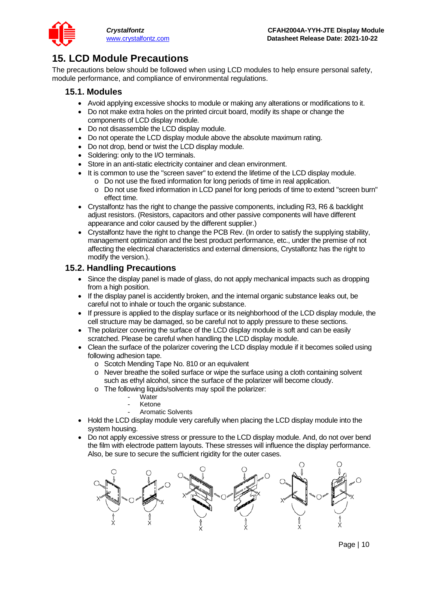

## <span id="page-9-0"></span>**15. LCD Module Precautions**

The precautions below should be followed when using LCD modules to help ensure personal safety, module performance, and compliance of environmental regulations.

### **15.1. Modules**

- Avoid applying excessive shocks to module or making any alterations or modifications to it.
- Do not make extra holes on the printed circuit board, modify its shape or change the components of LCD display module.
- Do not disassemble the LCD display module.
- Do not operate the LCD display module above the absolute maximum rating.
- Do not drop, bend or twist the LCD display module.
- Soldering: only to the I/O terminals.
- Store in an anti-static electricity container and clean environment.
- It is common to use the "screen saver" to extend the lifetime of the LCD display module.
	- o Do not use the fixed information for long periods of time in real application.
	- o Do not use fixed information in LCD panel for long periods of time to extend "screen burn" effect time.
- Crystalfontz has the right to change the passive components, including R3, R6 & backlight adjust resistors. (Resistors, capacitors and other passive components will have different appearance and color caused by the different supplier.)
- Crystalfontz have the right to change the PCB Rev. (In order to satisfy the supplying stability, management optimization and the best product performance, etc., under the premise of not affecting the electrical characteristics and external dimensions, Crystalfontz has the right to modify the version.).

### **15.2. Handling Precautions**

- Since the display panel is made of glass, do not apply mechanical impacts such as dropping from a high position.
- If the display panel is accidently broken, and the internal organic substance leaks out, be careful not to inhale or touch the organic substance.
- If pressure is applied to the display surface or its neighborhood of the LCD display module, the cell structure may be damaged, so be careful not to apply pressure to these sections.
- The polarizer covering the surface of the LCD display module is soft and can be easily scratched. Please be careful when handling the LCD display module.
- Clean the surface of the polarizer covering the LCD display module if it becomes soiled using following adhesion tape.
	- o Scotch Mending Tape No. 810 or an equivalent
	- o Never breathe the soiled surface or wipe the surface using a cloth containing solvent such as ethyl alcohol, since the surface of the polarizer will become cloudy.
	- o The following liquids/solvents may spoil the polarizer:
		- Water
		- **Ketone**
		- Aromatic Solvents
- Hold the LCD display module very carefully when placing the LCD display module into the system housing.
- Do not apply excessive stress or pressure to the LCD display module. And, do not over bend the film with electrode pattern layouts. These stresses will influence the display performance. Also, be sure to secure the sufficient rigidity for the outer cases.

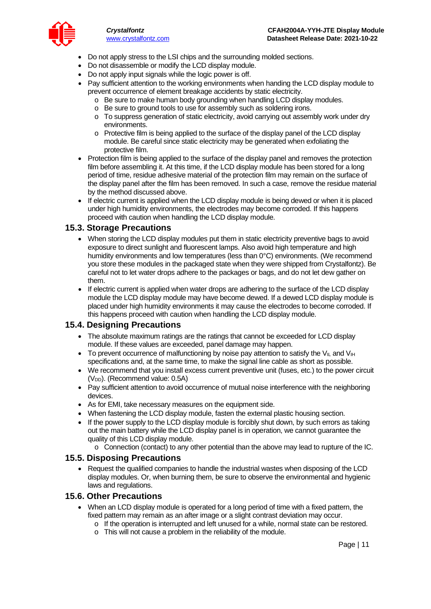

- Do not apply stress to the LSI chips and the surrounding molded sections.
- Do not disassemble or modify the LCD display module.
- Do not apply input signals while the logic power is off.
- Pay sufficient attention to the working environments when handing the LCD display module to prevent occurrence of element breakage accidents by static electricity.
	- o Be sure to make human body grounding when handling LCD display modules.
	- o Be sure to ground tools to use for assembly such as soldering irons.
	- o To suppress generation of static electricity, avoid carrying out assembly work under dry environments.
	- o Protective film is being applied to the surface of the display panel of the LCD display module. Be careful since static electricity may be generated when exfoliating the protective film.
- Protection film is being applied to the surface of the display panel and removes the protection film before assembling it. At this time, if the LCD display module has been stored for a long period of time, residue adhesive material of the protection film may remain on the surface of the display panel after the film has been removed. In such a case, remove the residue material by the method discussed above.
- If electric current is applied when the LCD display module is being dewed or when it is placed under high humidity environments, the electrodes may become corroded. If this happens proceed with caution when handling the LCD display module.

#### **15.3. Storage Precautions**

- When storing the LCD display modules put them in static electricity preventive bags to avoid exposure to direct sunlight and fluorescent lamps. Also avoid high temperature and high humidity environments and low temperatures (less than 0°C) environments. (We recommend you store these modules in the packaged state when they were shipped from Crystalfontz). Be careful not to let water drops adhere to the packages or bags, and do not let dew gather on them.
- If electric current is applied when water drops are adhering to the surface of the LCD display module the LCD display module may have become dewed. If a dewed LCD display module is placed under high humidity environments it may cause the electrodes to become corroded. If this happens proceed with caution when handling the LCD display module.

#### **15.4. Designing Precautions**

- The absolute maximum ratings are the ratings that cannot be exceeded for LCD display module. If these values are exceeded, panel damage may happen.
- To prevent occurrence of malfunctioning by noise pay attention to satisfy the V<sub>IL</sub> and V<sub>IH</sub> specifications and, at the same time, to make the signal line cable as short as possible.
- We recommend that you install excess current preventive unit (fuses, etc.) to the power circuit (V<sub>DD</sub>). (Recommend value: 0.5A)
- Pay sufficient attention to avoid occurrence of mutual noise interference with the neighboring devices.
- As for EMI, take necessary measures on the equipment side.
- When fastening the LCD display module, fasten the external plastic housing section.
- If the power supply to the LCD display module is forcibly shut down, by such errors as taking out the main battery while the LCD display panel is in operation, we cannot guarantee the quality of this LCD display module.
	- o Connection (contact) to any other potential than the above may lead to rupture of the IC.

#### **15.5. Disposing Precautions**

• Request the qualified companies to handle the industrial wastes when disposing of the LCD display modules. Or, when burning them, be sure to observe the environmental and hygienic laws and regulations.

#### **15.6. Other Precautions**

- When an LCD display module is operated for a long period of time with a fixed pattern, the fixed pattern may remain as an after image or a slight contrast deviation may occur.
	- o If the operation is interrupted and left unused for a while, normal state can be restored.
	- o This will not cause a problem in the reliability of the module.